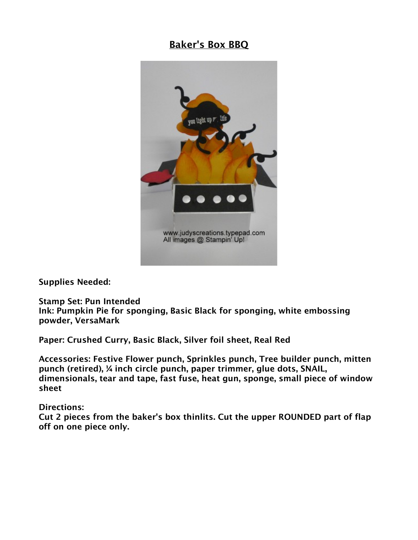## Baker's Box BBQ



Supplies Needed:

Stamp Set: Pun Intended Ink: Pumpkin Pie for sponging, Basic Black for sponging, white embossing powder, VersaMark

Paper: Crushed Curry, Basic Black, Silver foil sheet, Real Red

Accessories: Festive Flower punch, Sprinkles punch, Tree builder punch, mitten punch (retired), ¼ inch circle punch, paper trimmer, glue dots, SNAIL, dimensionals, tear and tape, fast fuse, heat gun, sponge, small piece of window sheet

Directions:

Cut 2 pieces from the baker's box thinlits. Cut the upper ROUNDED part of flap off on one piece only.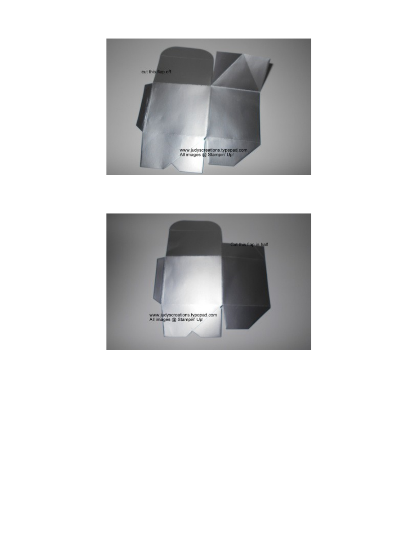

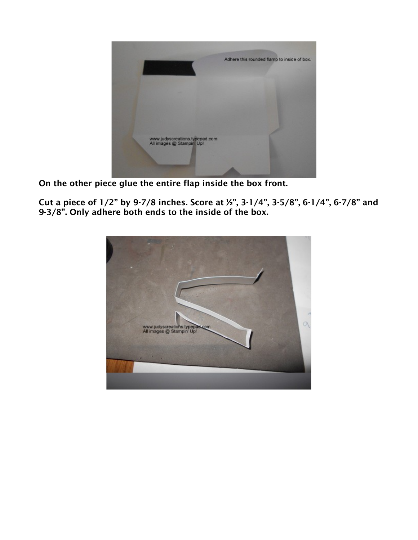

On the other piece glue the entire flap inside the box front.

Cut a piece of 1/2" by 9-7/8 inches. Score at ½", 3-1/4", 3-5/8", 6-1/4", 6-7/8" and 9-3/8". Only adhere both ends to the inside of the box.

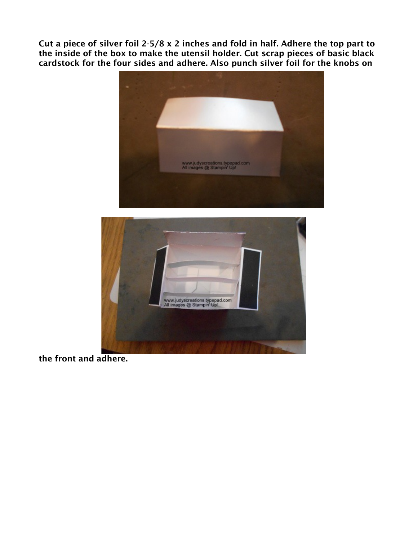Cut a piece of silver foil 2-5/8 x 2 inches and fold in half. Adhere the top part to the inside of the box to make the utensil holder. Cut scrap pieces of basic black cardstock for the four sides and adhere. Also punch silver foil for the knobs on





the front and adhere.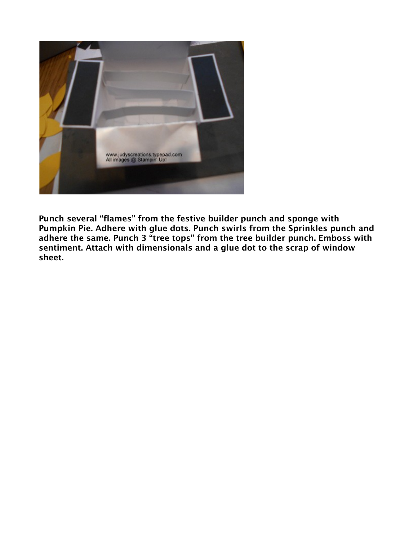

Punch several "flames" from the festive builder punch and sponge with Pumpkin Pie. Adhere with glue dots. Punch swirls from the Sprinkles punch and adhere the same. Punch 3 "tree tops" from the tree builder punch. Emboss with sentiment. Attach with dimensionals and a glue dot to the scrap of window sheet.